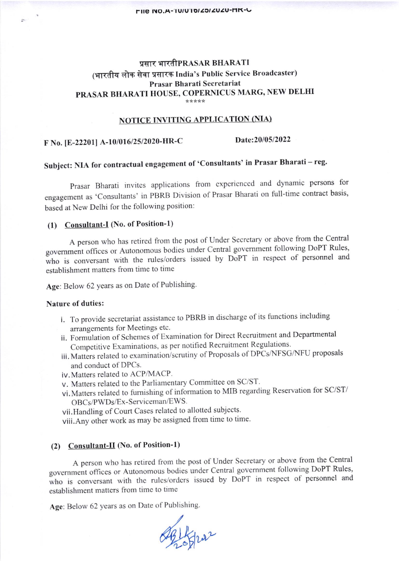# प्रसार भारतीPRASAR BHARATI (भारतीय लोक सेवा प्रसारक India's Public Service Broadcaster) Prasar Bharati Secretariat PRASAR BHARATI HOUSE, COPERNICUS MARG, NEW DELHI

### NOTICE INVITING APPLICATION (NIA)

F No. [E-22201] A-10/016/25/2020-HR-C Date:20/05/2022

# Subject: NIA for contractual engagement of 'Consultants' in Prasar Bharati - reg.

Prasar Bharati invites applications from experienced and dynamic persons for engagement as 'Consultants' in PBRB Division of Prasar Bharati on full-time contract basis, based at New Delhi for the following position:

## (1) Consultant-I (No. of Position-l)

<sup>A</sup>person who has retired from the post of Under Secretary or above from the central government offices or Autonomous bodies under Central government following DoPT Rules, who is conversant with the rules/orders issued by DoPT in respect of personnel and establishment matters from time to time

Age: Below 62 years as on Date of Publishing.

#### Nature of duties:

 $\sim$ 

- i. To provide secretariat assistance to PBRB in discharge of its functions including arrangements for Meetings etc.
- ii. Formulation of Schemes of Examination for Direct Recruitment and Departmental Competitive Examinations, as per notified Recruitment Regulations
- iii. Matters related to examination/scrutiny of Proposals of DPCs/NFSG/NFU proposals and conduct of DPCs.
- iv. Matters related to ACP/MACP.
- v. Matters related to the Parliamentary Committee on SC/ST.
- vi.Matrers related to fumishing of information to MIB regarding Reservation for SC/ST/ OBCs/PWDs/Ex-Serviceman/EWS.
- vii.Handling of Court Cases related to allotted subjects.

viii.Any other work as may be assigned from time to time'

## (2) Consultant-II (No. of Position-1)

A person who has retired from the post of Under Secretary or above from the Central govemment offices or Autonomous bodies under central govemment following DoPT Rules, who is conversant with the rules/orders issued by DoPT in respect of personnel and establishment matters from time to time

Age: Below 62 years as on Date of Publishing.

 $\overline{v}$  $202$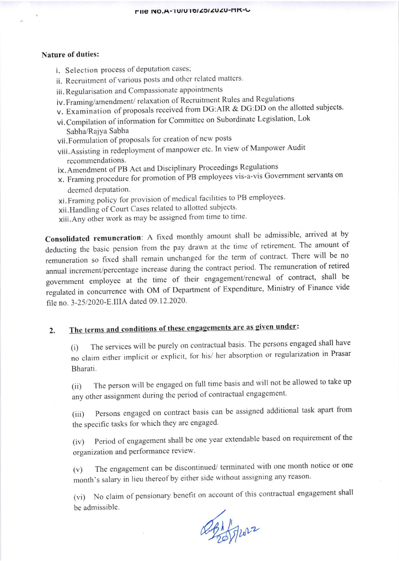#### **Nature of duties:**

- i. Selection process of deputation cases;
- ii. Recruitment of various posts and other related matters.
- iii. Regularisation and Compassionate appointments
- iv. Framing/amendment/relaxation of Recruitment Rules and Regulations
- v. Examination of proposals received from DG:AIR & DG:DD on the allotted subjects.
- vi. Compilation of information for Committee on Subordinate Legislation, Lok Sabha/Rajya Sabha
- vii. Formulation of proposals for creation of new posts
- viii. Assisting in redeployment of manpower etc. In view of Manpower Audit recommendations.
- IX. Amendment of PB Act and Disciplinary Proceedings Regulations
- x. Framing procedure for promotion of PB employees vis-a-vis Government servants on deemed deputation.
- xi. Framing policy for provision of medical facilities to PB employees.
- xii. Handling of Court Cases related to allotted subjects.
- xiii. Any other work as may be assigned from time to time.

Consolidated remuneration: A fixed monthly amount shall be admissible, arrived at by deducting the basic pension from the pay drawn at the time of retirement. The amount of remuneration so fixed shall remain unchanged for the term of contract. There will be no annual increment/percentage increase during the contract period. The remuneration of retired government employee at the time of their engagement/renewal of contract, shall be regulated in concurrence with OM of Department of Expenditure, Ministry of Finance vide file no. 3-25/2020-E.IIIA dated 09.12.2020.

#### The terms and conditions of these engagements are as given under:  $2.$

The services will be purely on contractual basis. The persons engaged shall have  $(i)$ no claim either implicit or explicit, for his/ her absorption or regularization in Prasar Bharati.

The person will be engaged on full time basis and will not be allowed to take up  $(ii)$ any other assignment during the period of contractual engagement.

Persons engaged on contract basis can be assigned additional task apart from  $(iii)$ the specific tasks for which they are engaged.

Period of engagement shall be one year extendable based on requirement of the  $(iv)$ organization and performance review.

The engagement can be discontinued/ terminated with one month notice or one  $(v)$ month's salary in lieu thereof by either side without assigning any reason.

(vi) No claim of pensionary benefit on account of this contractual engagement shall be admissible.

DE Hours